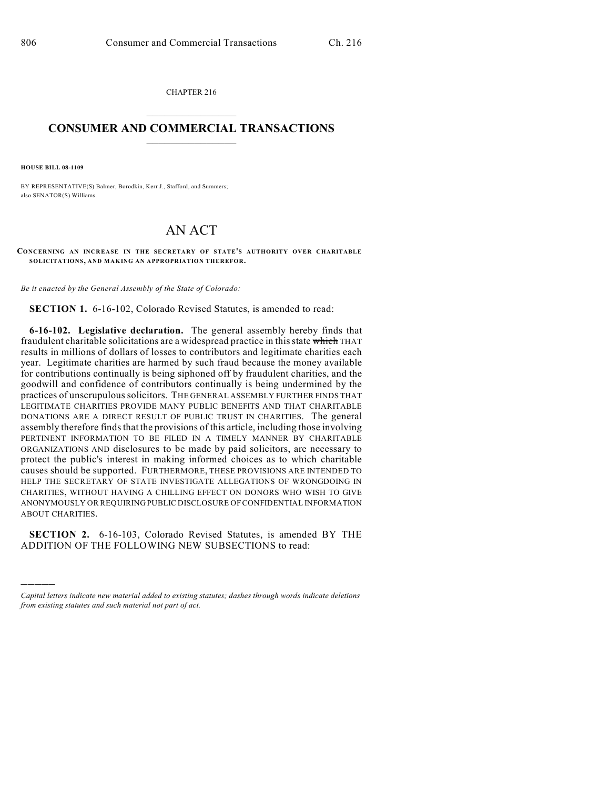CHAPTER 216  $\overline{\phantom{a}}$  . The set of the set of the set of the set of the set of the set of the set of the set of the set of the set of the set of the set of the set of the set of the set of the set of the set of the set of the set o

## **CONSUMER AND COMMERCIAL TRANSACTIONS**  $\frac{1}{2}$  ,  $\frac{1}{2}$  ,  $\frac{1}{2}$  ,  $\frac{1}{2}$  ,  $\frac{1}{2}$  ,  $\frac{1}{2}$

**HOUSE BILL 08-1109**

)))))

BY REPRESENTATIVE(S) Balmer, Borodkin, Kerr J., Stafford, and Summers; also SENATOR(S) Williams.

## AN ACT

**CONCERNING AN INCREASE IN THE SECRETARY OF STATE'S AUTHORITY OVER CHARITABLE SOLICITATIONS, AND MAKING AN APPROPRIATION THEREFOR.**

*Be it enacted by the General Assembly of the State of Colorado:*

**SECTION 1.** 6-16-102, Colorado Revised Statutes, is amended to read:

**6-16-102. Legislative declaration.** The general assembly hereby finds that fraudulent charitable solicitations are a widespread practice in this state which THAT results in millions of dollars of losses to contributors and legitimate charities each year. Legitimate charities are harmed by such fraud because the money available for contributions continually is being siphoned off by fraudulent charities, and the goodwill and confidence of contributors continually is being undermined by the practices of unscrupulous solicitors. THE GENERAL ASSEMBLY FURTHER FINDS THAT LEGITIMATE CHARITIES PROVIDE MANY PUBLIC BENEFITS AND THAT CHARITABLE DONATIONS ARE A DIRECT RESULT OF PUBLIC TRUST IN CHARITIES. The general assembly therefore finds that the provisions of this article, including those involving PERTINENT INFORMATION TO BE FILED IN A TIMELY MANNER BY CHARITABLE ORGANIZATIONS AND disclosures to be made by paid solicitors, are necessary to protect the public's interest in making informed choices as to which charitable causes should be supported. FURTHERMORE, THESE PROVISIONS ARE INTENDED TO HELP THE SECRETARY OF STATE INVESTIGATE ALLEGATIONS OF WRONGDOING IN CHARITIES, WITHOUT HAVING A CHILLING EFFECT ON DONORS WHO WISH TO GIVE ANONYMOUSLY OR REQUIRING PUBLIC DISCLOSURE OF CONFIDENTIAL INFORMATION ABOUT CHARITIES.

**SECTION 2.** 6-16-103, Colorado Revised Statutes, is amended BY THE ADDITION OF THE FOLLOWING NEW SUBSECTIONS to read:

*Capital letters indicate new material added to existing statutes; dashes through words indicate deletions from existing statutes and such material not part of act.*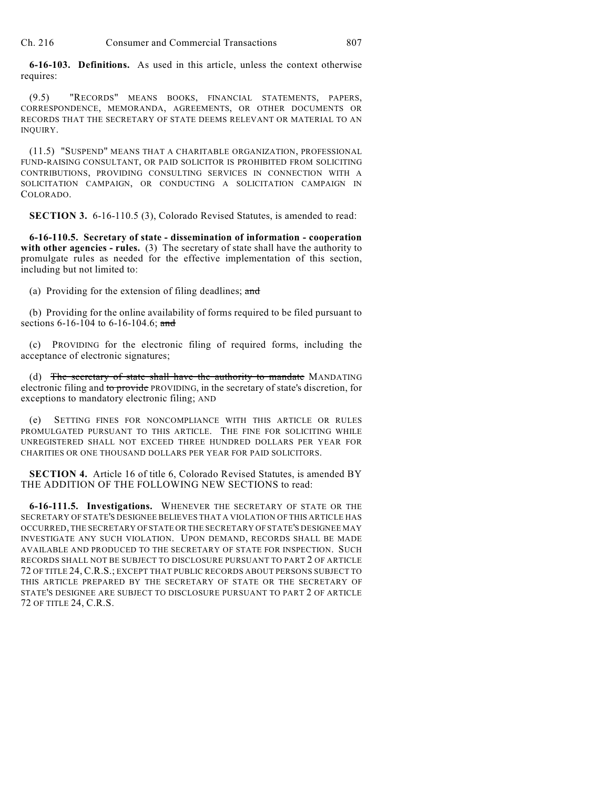Ch. 216 Consumer and Commercial Transactions 807

**6-16-103. Definitions.** As used in this article, unless the context otherwise requires:

(9.5) "RECORDS" MEANS BOOKS, FINANCIAL STATEMENTS, PAPERS, CORRESPONDENCE, MEMORANDA, AGREEMENTS, OR OTHER DOCUMENTS OR RECORDS THAT THE SECRETARY OF STATE DEEMS RELEVANT OR MATERIAL TO AN INQUIRY.

(11.5) "SUSPEND" MEANS THAT A CHARITABLE ORGANIZATION, PROFESSIONAL FUND-RAISING CONSULTANT, OR PAID SOLICITOR IS PROHIBITED FROM SOLICITING CONTRIBUTIONS, PROVIDING CONSULTING SERVICES IN CONNECTION WITH A SOLICITATION CAMPAIGN, OR CONDUCTING A SOLICITATION CAMPAIGN IN COLORADO.

**SECTION 3.** 6-16-110.5 (3), Colorado Revised Statutes, is amended to read:

**6-16-110.5. Secretary of state - dissemination of information - cooperation with other agencies - rules.** (3) The secretary of state shall have the authority to promulgate rules as needed for the effective implementation of this section, including but not limited to:

(a) Providing for the extension of filing deadlines; and

(b) Providing for the online availability of forms required to be filed pursuant to sections 6-16-104 to 6-16-104.6; and

(c) PROVIDING for the electronic filing of required forms, including the acceptance of electronic signatures;

(d) The secretary of state shall have the authority to mandate MANDATING electronic filing and to provide PROVIDING, in the secretary of state's discretion, for exceptions to mandatory electronic filing; AND

(e) SETTING FINES FOR NONCOMPLIANCE WITH THIS ARTICLE OR RULES PROMULGATED PURSUANT TO THIS ARTICLE. THE FINE FOR SOLICITING WHILE UNREGISTERED SHALL NOT EXCEED THREE HUNDRED DOLLARS PER YEAR FOR CHARITIES OR ONE THOUSAND DOLLARS PER YEAR FOR PAID SOLICITORS.

**SECTION 4.** Article 16 of title 6, Colorado Revised Statutes, is amended BY THE ADDITION OF THE FOLLOWING NEW SECTIONS to read:

**6-16-111.5. Investigations.** WHENEVER THE SECRETARY OF STATE OR THE SECRETARY OF STATE'S DESIGNEE BELIEVES THAT A VIOLATION OF THIS ARTICLE HAS OCCURRED, THE SECRETARY OF STATE OR THE SECRETARY OF STATE'S DESIGNEE MAY INVESTIGATE ANY SUCH VIOLATION. UPON DEMAND, RECORDS SHALL BE MADE AVAILABLE AND PRODUCED TO THE SECRETARY OF STATE FOR INSPECTION. SUCH RECORDS SHALL NOT BE SUBJECT TO DISCLOSURE PURSUANT TO PART 2 OF ARTICLE 72 OF TITLE 24, C.R.S.; EXCEPT THAT PUBLIC RECORDS ABOUT PERSONS SUBJECT TO THIS ARTICLE PREPARED BY THE SECRETARY OF STATE OR THE SECRETARY OF STATE'S DESIGNEE ARE SUBJECT TO DISCLOSURE PURSUANT TO PART 2 OF ARTICLE 72 OF TITLE 24, C.R.S.